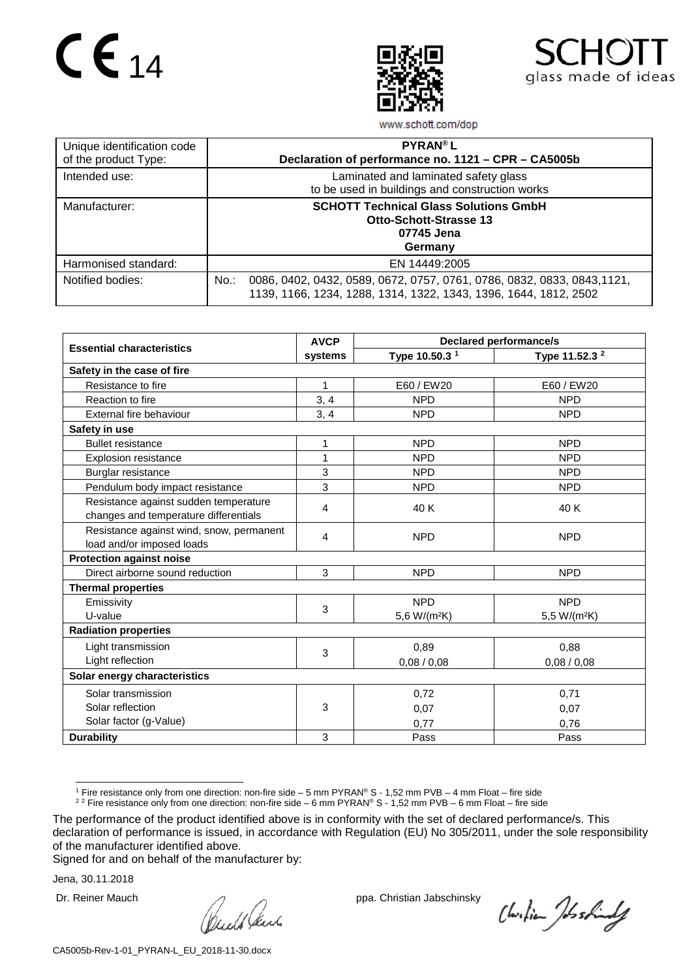# $CE_{14}$





www.schott.com/dop

| Unique identification code<br>of the product Type: | <b>PYRAN®L</b><br>Declaration of performance no. 1121 - CPR - CA5005b                                                                                  |
|----------------------------------------------------|--------------------------------------------------------------------------------------------------------------------------------------------------------|
| Intended use:                                      | Laminated and laminated safety glass<br>to be used in buildings and construction works                                                                 |
| Manufacturer:                                      | <b>SCHOTT Technical Glass Solutions GmbH</b><br><b>Otto-Schott-Strasse 13</b><br>07745 Jena<br>Germany                                                 |
| Harmonised standard:                               | EN 14449:2005                                                                                                                                          |
| Notified bodies:                                   | $No.$ :<br>0086, 0402, 0432, 0589, 0672, 0757, 0761, 0786, 0832, 0833, 0843, 1121,<br>1139, 1166, 1234, 1288, 1314, 1322, 1343, 1396, 1644, 1812, 2502 |

|                                          | <b>AVCP</b> | <b>Declared performance/s</b> |                           |
|------------------------------------------|-------------|-------------------------------|---------------------------|
| <b>Essential characteristics</b>         | systems     | Type 10.50.3 <sup>1</sup>     | Type 11.52.3 <sup>2</sup> |
| Safety in the case of fire               |             |                               |                           |
| Resistance to fire                       | 1           | E60 / EW20                    | E60 / EW20                |
| Reaction to fire                         | 3, 4        | <b>NPD</b>                    | <b>NPD</b>                |
| External fire behaviour                  | 3, 4        | <b>NPD</b>                    | <b>NPD</b>                |
| Safety in use                            |             |                               |                           |
| <b>Bullet resistance</b>                 | 1           | <b>NPD</b>                    | <b>NPD</b>                |
| Explosion resistance                     | $\mathbf 1$ | <b>NPD</b>                    | <b>NPD</b>                |
| Burglar resistance                       | 3           | <b>NPD</b>                    | <b>NPD</b>                |
| Pendulum body impact resistance          | 3           | <b>NPD</b>                    | <b>NPD</b>                |
| Resistance against sudden temperature    | 4           | 40K                           | 40 K                      |
| changes and temperature differentials    |             |                               |                           |
| Resistance against wind, snow, permanent | 4           | <b>NPD</b>                    | <b>NPD</b>                |
| load and/or imposed loads                |             |                               |                           |
| <b>Protection against noise</b>          |             |                               |                           |
| Direct airborne sound reduction          | 3           | <b>NPD</b>                    | <b>NPD</b>                |
| <b>Thermal properties</b>                |             |                               |                           |
| Emissivity                               | 3           | <b>NPD</b>                    | <b>NPD</b>                |
| U-value                                  |             | 5,6 W/(m <sup>2</sup> K)      | 5,5 W/(m <sup>2</sup> K)  |
| <b>Radiation properties</b>              |             |                               |                           |
| Light transmission                       | 3           | 0,89                          | 0,88                      |
| Light reflection                         |             | 0,08/0,08                     | 0,08/0,08                 |
| Solar energy characteristics             |             |                               |                           |
| Solar transmission                       |             | 0,72                          | 0,71                      |
| Solar reflection                         | 3           | 0,07                          | 0,07                      |
| Solar factor (g-Value)                   |             | 0,77                          | 0,76                      |
| <b>Durability</b>                        | 3           | Pass                          | Pass                      |

1 Fire resistance only from one direction: non-fire side – <sup>5</sup> mm PYRAN® <sup>S</sup> - 1,52 mm PVB – <sup>4</sup> mm Float – fire side

<sup>2 2</sup> Fire resistance only from one direction: non-fire side – 6 mm PYRAN® S - 1,52 mm PVB – 6 mm Float – fire side

Signed for and on behalf of the manufacturer by:

Jena, 30.11.2018

Dr. Reiner Mauch ppa. Christian Jabschinsky<br>
ppa. Christian Jabschinsky<br>
ppa. Christian Jabschinsky

Christian Joshindy

<span id="page-0-1"></span><span id="page-0-0"></span>The performance of the product identified above is in conformity with the set of declared performance/s. This declaration of performance is issued, in accordance with Regulation (EU) No 305/2011, under the sole responsibility of the manufacturer identified above.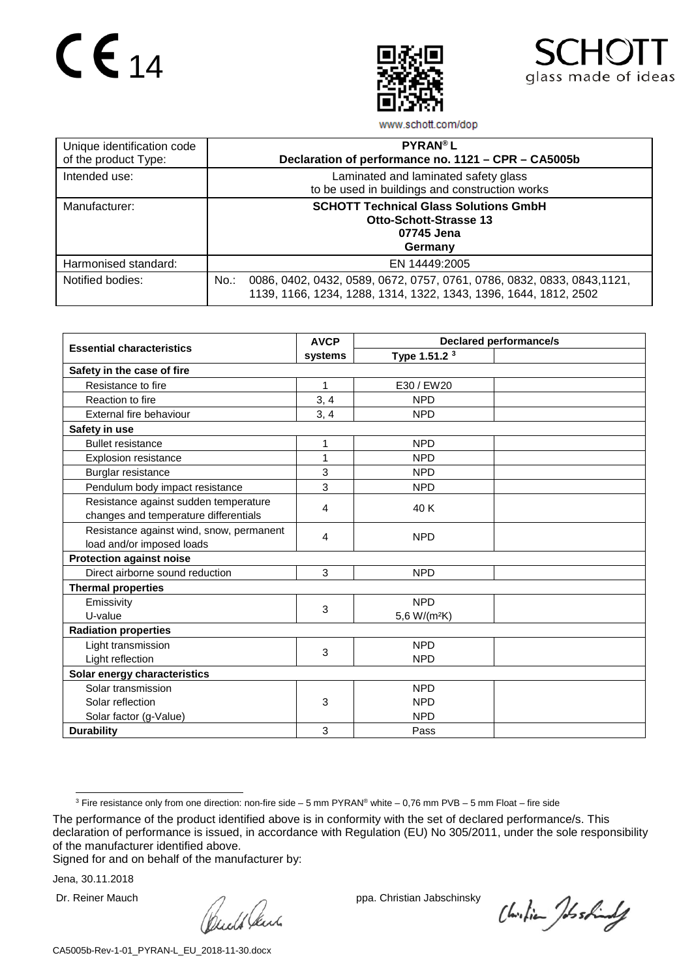# $CE_{14}$





www.schott.com/dop

| Unique identification code<br>of the product Type: | <b>PYRAN®L</b><br>Declaration of performance no. 1121 - CPR - CA5005b                                                                                  |
|----------------------------------------------------|--------------------------------------------------------------------------------------------------------------------------------------------------------|
| Intended use:                                      | Laminated and laminated safety glass<br>to be used in buildings and construction works                                                                 |
| Manufacturer:                                      | <b>SCHOTT Technical Glass Solutions GmbH</b><br><b>Otto-Schott-Strasse 13</b><br>07745 Jena<br>Germany                                                 |
| Harmonised standard:                               | EN 14449:2005                                                                                                                                          |
| Notified bodies:                                   | $No.$ :<br>0086, 0402, 0432, 0589, 0672, 0757, 0761, 0786, 0832, 0833, 0843, 1121,<br>1139, 1166, 1234, 1288, 1314, 1322, 1343, 1396, 1644, 1812, 2502 |

|                                          | <b>AVCP</b> | <b>Declared performance/s</b> |  |  |  |
|------------------------------------------|-------------|-------------------------------|--|--|--|
| <b>Essential characteristics</b>         | systems     | Type 1.51.2 <sup>3</sup>      |  |  |  |
| Safety in the case of fire               |             |                               |  |  |  |
| Resistance to fire                       | 1           | E30 / EW20                    |  |  |  |
| Reaction to fire                         | 3, 4        | <b>NPD</b>                    |  |  |  |
| External fire behaviour                  | 3, 4        | <b>NPD</b>                    |  |  |  |
| Safety in use                            |             |                               |  |  |  |
| <b>Bullet resistance</b>                 | 1           | <b>NPD</b>                    |  |  |  |
| <b>Explosion resistance</b>              | 1           | <b>NPD</b>                    |  |  |  |
| Burglar resistance                       | 3           | <b>NPD</b>                    |  |  |  |
| Pendulum body impact resistance          | 3           | <b>NPD</b>                    |  |  |  |
| Resistance against sudden temperature    | 4           | 40 K                          |  |  |  |
| changes and temperature differentials    |             |                               |  |  |  |
| Resistance against wind, snow, permanent | 4           | <b>NPD</b>                    |  |  |  |
| load and/or imposed loads                |             |                               |  |  |  |
| <b>Protection against noise</b>          |             |                               |  |  |  |
| Direct airborne sound reduction          | 3           | <b>NPD</b>                    |  |  |  |
| <b>Thermal properties</b>                |             |                               |  |  |  |
| Emissivity                               | 3           | <b>NPD</b>                    |  |  |  |
| U-value                                  |             | 5,6 W/(m <sup>2</sup> K)      |  |  |  |
| <b>Radiation properties</b>              |             |                               |  |  |  |
| Light transmission                       | 3           | <b>NPD</b>                    |  |  |  |
| Light reflection                         |             | <b>NPD</b>                    |  |  |  |
| Solar energy characteristics             |             |                               |  |  |  |
| Solar transmission                       |             | <b>NPD</b>                    |  |  |  |
| Solar reflection                         | 3           | <b>NPD</b>                    |  |  |  |
| Solar factor (g-Value)                   |             | <b>NPD</b>                    |  |  |  |
| <b>Durability</b>                        | 3           | Pass                          |  |  |  |

Signed for and on behalf of the manufacturer by:

Jena, 30.11.2018

Dr. Reiner Mauch ppa. Christian Jabschinsky<br>
ppa. Christian Jabschinsky<br>
ppa. Christian Jabschinsky

Christian Joshindy

 <sup>3</sup> Fire resistance only from one direction: non-fire side – <sup>5</sup> mm PYRAN® white – 0,76 mm PVB – <sup>5</sup> mm Float – fire side

<span id="page-1-0"></span>The performance of the product identified above is in conformity with the set of declared performance/s. This declaration of performance is issued, in accordance with Regulation (EU) No 305/2011, under the sole responsibility of the manufacturer identified above.